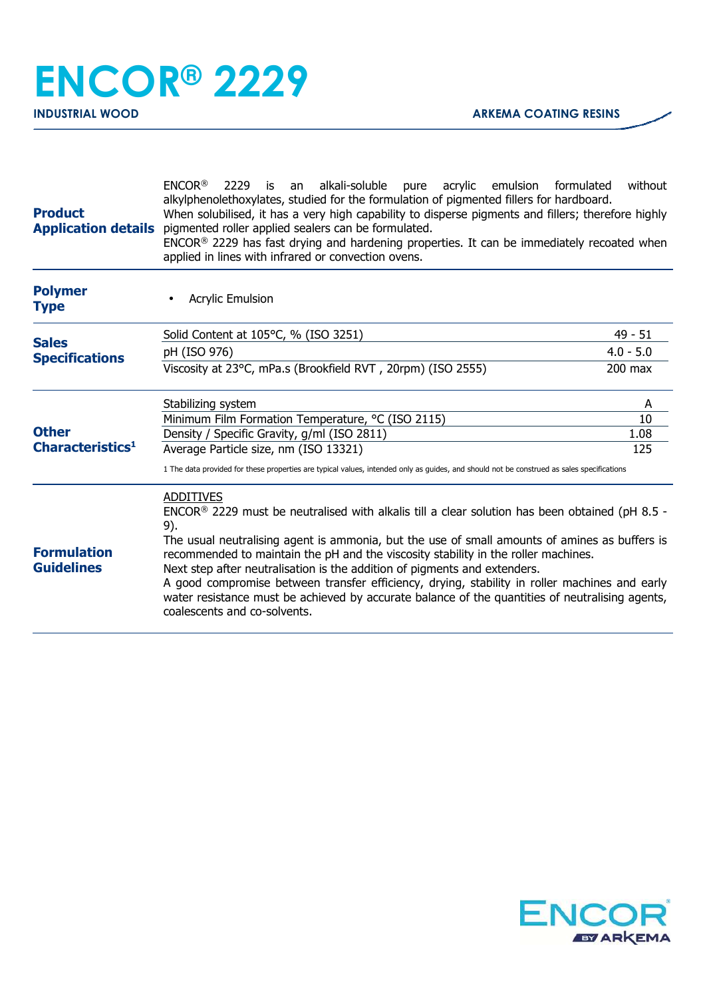| <b>Product</b><br><b>Application details</b> | $ENCOR^@$<br>2229<br>an alkali-soluble pure acrylic emulsion<br>without<br>is<br>formulated<br>alkylphenolethoxylates, studied for the formulation of pigmented fillers for hardboard.<br>When solubilised, it has a very high capability to disperse pigments and fillers; therefore highly<br>pigmented roller applied sealers can be formulated.<br>ENCOR® 2229 has fast drying and hardening properties. It can be immediately recoated when<br>applied in lines with infrared or convection ovens.                                                                                                                                       |             |
|----------------------------------------------|-----------------------------------------------------------------------------------------------------------------------------------------------------------------------------------------------------------------------------------------------------------------------------------------------------------------------------------------------------------------------------------------------------------------------------------------------------------------------------------------------------------------------------------------------------------------------------------------------------------------------------------------------|-------------|
| <b>Polymer</b><br><b>Type</b>                | <b>Acrylic Emulsion</b>                                                                                                                                                                                                                                                                                                                                                                                                                                                                                                                                                                                                                       |             |
| <b>Sales</b><br><b>Specifications</b>        | Solid Content at 105°C, % (ISO 3251)                                                                                                                                                                                                                                                                                                                                                                                                                                                                                                                                                                                                          | $49 - 51$   |
|                                              | pH (ISO 976)                                                                                                                                                                                                                                                                                                                                                                                                                                                                                                                                                                                                                                  | $4.0 - 5.0$ |
|                                              | Viscosity at 23°C, mPa.s (Brookfield RVT, 20rpm) (ISO 2555)                                                                                                                                                                                                                                                                                                                                                                                                                                                                                                                                                                                   | $200$ max   |
| <b>Other</b><br>Characteristics <sup>1</sup> | Stabilizing system                                                                                                                                                                                                                                                                                                                                                                                                                                                                                                                                                                                                                            | A           |
|                                              | Minimum Film Formation Temperature, °C (ISO 2115)                                                                                                                                                                                                                                                                                                                                                                                                                                                                                                                                                                                             | 10          |
|                                              | Density / Specific Gravity, g/ml (ISO 2811)<br>Average Particle size, nm (ISO 13321)                                                                                                                                                                                                                                                                                                                                                                                                                                                                                                                                                          | 1.08<br>125 |
|                                              | 1 The data provided for these properties are typical values, intended only as guides, and should not be construed as sales specifications                                                                                                                                                                                                                                                                                                                                                                                                                                                                                                     |             |
| <b>Formulation</b><br><b>Guidelines</b>      | <b>ADDITIVES</b><br>ENCOR <sup>®</sup> 2229 must be neutralised with alkalis till a clear solution has been obtained (pH 8.5 -<br>9).<br>The usual neutralising agent is ammonia, but the use of small amounts of amines as buffers is<br>recommended to maintain the pH and the viscosity stability in the roller machines.<br>Next step after neutralisation is the addition of pigments and extenders.<br>A good compromise between transfer efficiency, drying, stability in roller machines and early<br>water resistance must be achieved by accurate balance of the quantities of neutralising agents,<br>coalescents and co-solvents. |             |